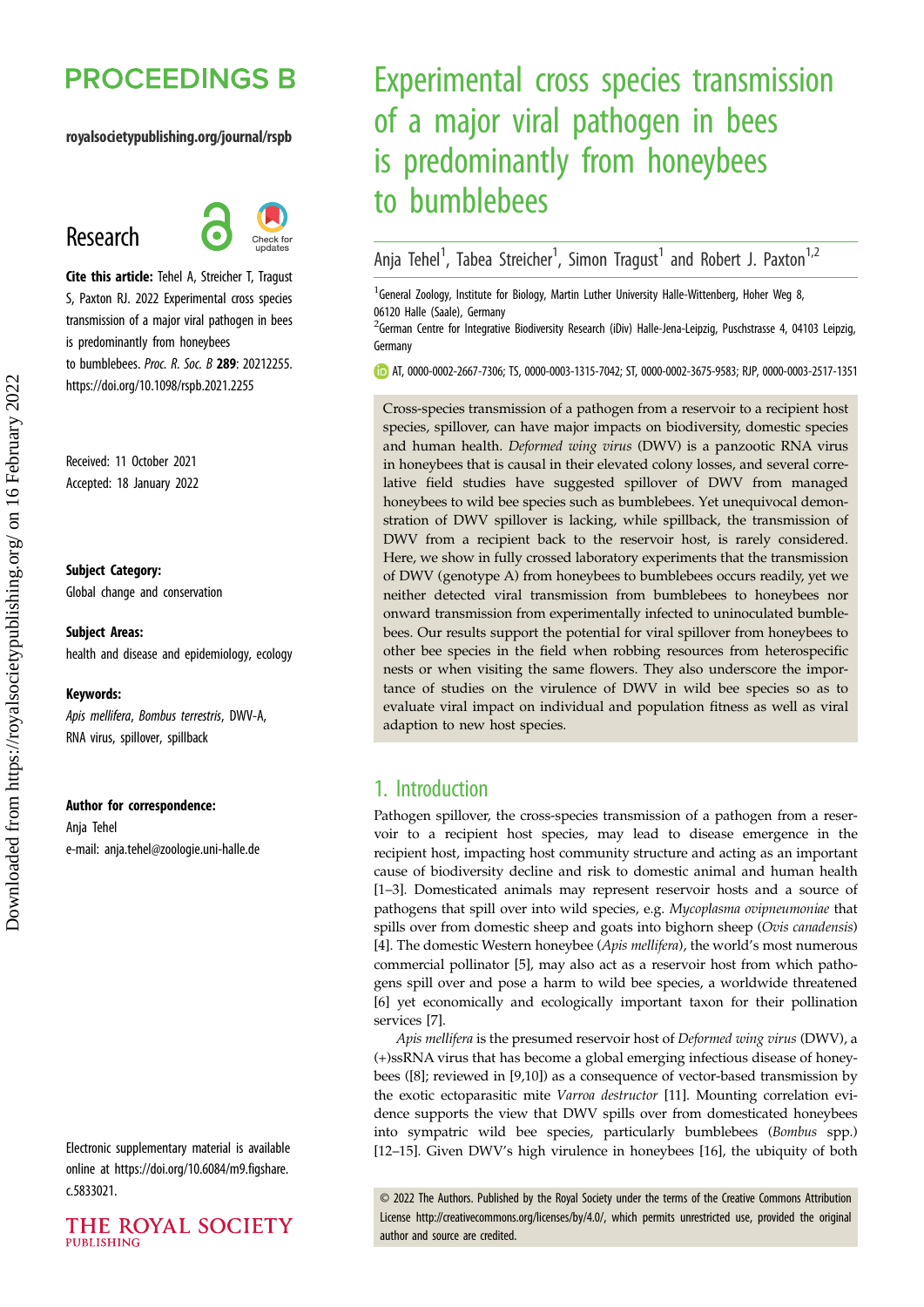# **PROCEEDINGS B**

#### royalsocietypublishing.org/journal/rspb

## Research



Cite this article: Tehel A, Streicher T, Tragust S, Paxton RJ. 2022 Experimental cross species transmission of a major viral pathogen in bees is predominantly from honeybees to bumblebees. Proc. R. Soc. B 289: 20212255. https://doi.org/10.1098/rspb.2021.2255

Received: 11 October 2021 Accepted: 18 January 2022

#### Subject Category:

Global change and conservation

## Subject Areas:

health and disease and epidemiology, ecology

#### Keywords:

Apis mellifera, Bombus terrestris, DWV-A, RNA virus, spillover, spillback

#### Author for correspondence:

Anja Tehel e-mail: [anja.tehel@zoologie.uni-halle.de](mailto:anja.tehel@zoologie.uni-halle.de)

Electronic supplementary material is available online at [https://doi.org/10.6084/m9.figshare.](https://doi.org/10.6084/m9.figshare.c.5833021) [c.5833021.](https://doi.org/10.6084/m9.figshare.c.5833021)

#### THE ROYAL SOCIETY **PUBLISHING**

# Experimental cross species transmission of a major viral pathogen in bees is predominantly from honeybees to bumblebees

Anja Tehel<sup>1</sup>, Tabea Streicher<sup>1</sup>, Simon Tragust<sup>1</sup> and Robert J. Paxton<sup>1,2</sup>

<sup>1</sup> General Zoology, Institute for Biology, Martin Luther University Halle-Wittenberg, Hoher Weg 8, 06120 Halle (Saale), Germany

<sup>2</sup>German Centre for Integrative Biodiversity Research (iDiv) Halle-Jena-Leipzig, Puschstrasse 4, 04103 Leipzig, Germany

AT, [0000-0002-2667-7306](http://orcid.org/0000-0002-2667-7306); TS, [0000-0003-1315-7042](https://orcid.org/0000-0003-1315-7042); ST, [0000-0002-3675-9583](http://orcid.org/0000-0002-3675-9583); RJP, [0000-0003-2517-1351](https://orcid.org/0000-0003-2517-1351)

Cross-species transmission of a pathogen from a reservoir to a recipient host species, spillover, can have major impacts on biodiversity, domestic species and human health. Deformed wing virus (DWV) is a panzootic RNA virus in honeybees that is causal in their elevated colony losses, and several correlative field studies have suggested spillover of DWV from managed honeybees to wild bee species such as bumblebees. Yet unequivocal demonstration of DWV spillover is lacking, while spillback, the transmission of DWV from a recipient back to the reservoir host, is rarely considered. Here, we show in fully crossed laboratory experiments that the transmission of DWV (genotype A) from honeybees to bumblebees occurs readily, yet we neither detected viral transmission from bumblebees to honeybees nor onward transmission from experimentally infected to uninoculated bumblebees. Our results support the potential for viral spillover from honeybees to other bee species in the field when robbing resources from heterospecific nests or when visiting the same flowers. They also underscore the importance of studies on the virulence of DWV in wild bee species so as to evaluate viral impact on individual and population fitness as well as viral adaption to new host species.

## 1. Introduction

Pathogen spillover, the cross-species transmission of a pathogen from a reservoir to a recipient host species, may lead to disease emergence in the recipient host, impacting host community structure and acting as an important cause of biodiversity decline and risk to domestic animal and human health [[1](#page-7-0)–[3](#page-7-0)]. Domesticated animals may represent reservoir hosts and a source of pathogens that spill over into wild species, e.g. Mycoplasma ovipneumoniae that spills over from domestic sheep and goats into bighorn sheep (Ovis canadensis) [[4](#page-7-0)]. The domestic Western honeybee (Apis mellifera), the world's most numerous commercial pollinator [\[5\]](#page-7-0), may also act as a reservoir host from which pathogens spill over and pose a harm to wild bee species, a worldwide threatened [[6](#page-7-0)] yet economically and ecologically important taxon for their pollination services [[7](#page-7-0)].

Apis mellifera is the presumed reservoir host of Deformed wing virus (DWV), a (+)ssRNA virus that has become a global emerging infectious disease of honeybees ([[8](#page-7-0)]; reviewed in [\[9,10](#page-7-0)]) as a consequence of vector-based transmission by the exotic ectoparasitic mite Varroa destructor [[11](#page-7-0)]. Mounting correlation evidence supports the view that DWV spills over from domesticated honeybees into sympatric wild bee species, particularly bumblebees (Bombus spp.) [[12](#page-7-0)–[15](#page-7-0)]. Given DWV's high virulence in honeybees [[16\]](#page-7-0), the ubiquity of both

© 2022 The Authors. Published by the Royal Society under the terms of the Creative Commons Attribution License<http://creativecommons.org/licenses/by/4.0/>, which permits unrestricted use, provided the original author and source are credited.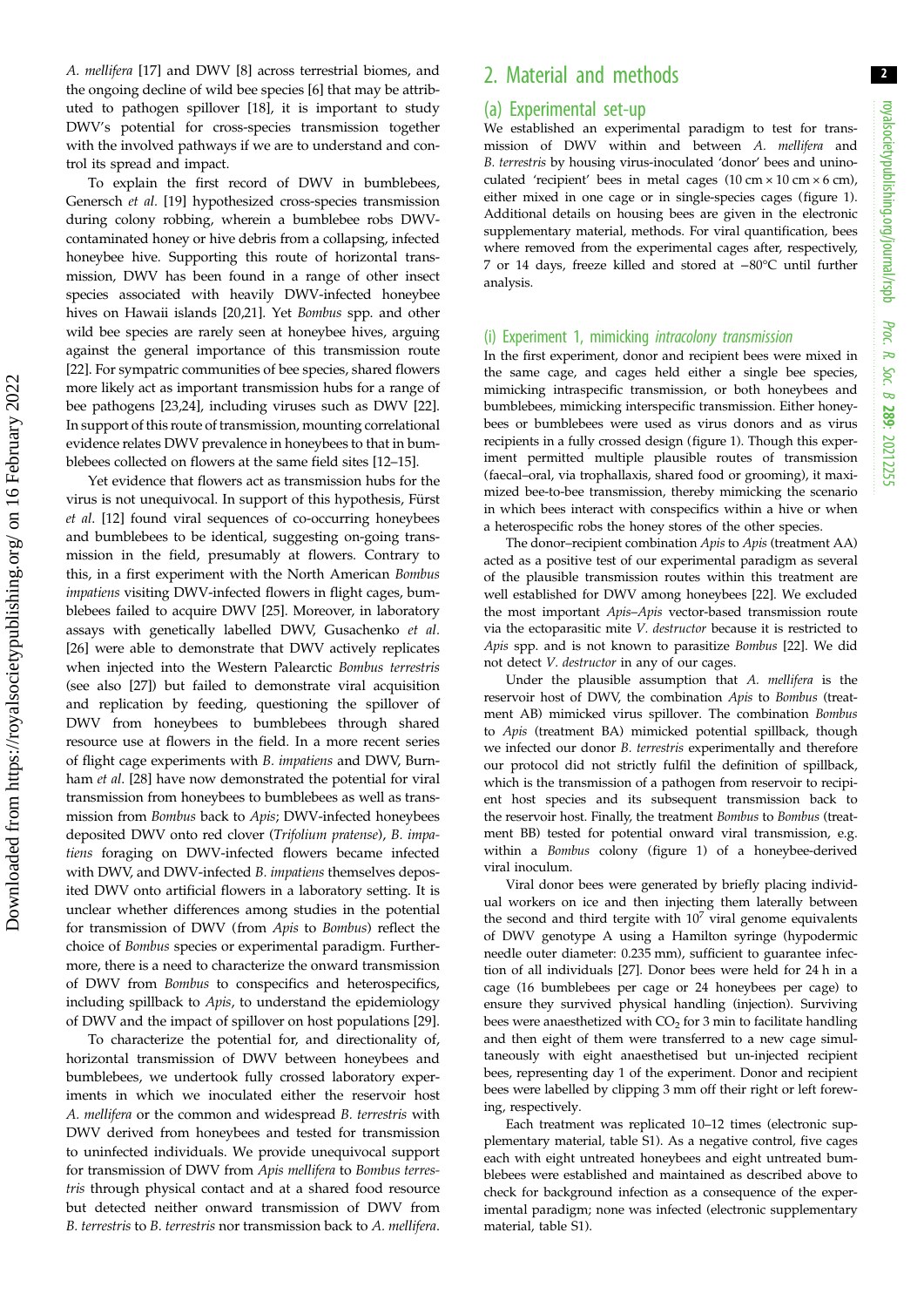A. mellifera [\[17](#page-7-0)] and DWV [\[8\]](#page-7-0) across terrestrial biomes, and the ongoing decline of wild bee species [\[6\]](#page-7-0) that may be attributed to pathogen spillover [\[18](#page-7-0)], it is important to study DWV's potential for cross-species transmission together with the involved pathways if we are to understand and control its spread and impact.

To explain the first record of DWV in bumblebees, Genersch et al. [\[19](#page-7-0)] hypothesized cross-species transmission during colony robbing, wherein a bumblebee robs DWVcontaminated honey or hive debris from a collapsing, infected honeybee hive. Supporting this route of horizontal transmission, DWV has been found in a range of other insect species associated with heavily DWV-infected honeybee hives on Hawaii islands [\[20,21](#page-7-0)]. Yet Bombus spp. and other wild bee species are rarely seen at honeybee hives, arguing against the general importance of this transmission route [\[22](#page-7-0)]. For sympatric communities of bee species, shared flowers more likely act as important transmission hubs for a range of bee pathogens [\[23,24](#page-7-0)], including viruses such as DWV [\[22](#page-7-0)]. In support of this route of transmission, mounting correlational evidence relates DWV prevalence in honeybees to that in bumblebees collected on flowers at the same field sites [[12](#page-7-0)–[15](#page-7-0)].

Yet evidence that flowers act as transmission hubs for the virus is not unequivocal. In support of this hypothesis, Fürst et al. [\[12](#page-7-0)] found viral sequences of co-occurring honeybees and bumblebees to be identical, suggesting on-going transmission in the field, presumably at flowers. Contrary to this, in a first experiment with the North American Bombus impatiens visiting DWV-infected flowers in flight cages, bumblebees failed to acquire DWV [\[25\]](#page-7-0). Moreover, in laboratory assays with genetically labelled DWV, Gusachenko et al. [\[26](#page-7-0)] were able to demonstrate that DWV actively replicates when injected into the Western Palearctic Bombus terrestris (see also [\[27](#page-7-0)]) but failed to demonstrate viral acquisition and replication by feeding, questioning the spillover of DWV from honeybees to bumblebees through shared resource use at flowers in the field. In a more recent series of flight cage experiments with B. impatiens and DWV, Burnham et al. [\[28](#page-7-0)] have now demonstrated the potential for viral transmission from honeybees to bumblebees as well as transmission from Bombus back to Apis; DWV-infected honeybees deposited DWV onto red clover (Trifolium pratense), B. impatiens foraging on DWV-infected flowers became infected with DWV, and DWV-infected B. impatiens themselves deposited DWV onto artificial flowers in a laboratory setting. It is unclear whether differences among studies in the potential for transmission of DWV (from Apis to Bombus) reflect the choice of Bombus species or experimental paradigm. Furthermore, there is a need to characterize the onward transmission of DWV from Bombus to conspecifics and heterospecifics, including spillback to Apis, to understand the epidemiology of DWV and the impact of spillover on host populations [\[29](#page-7-0)].

To characterize the potential for, and directionality of, horizontal transmission of DWV between honeybees and bumblebees, we undertook fully crossed laboratory experiments in which we inoculated either the reservoir host A. mellifera or the common and widespread B. terrestris with DWV derived from honeybees and tested for transmission to uninfected individuals. We provide unequivocal support for transmission of DWV from Apis mellifera to Bombus terrestris through physical contact and at a shared food resource but detected neither onward transmission of DWV from B. terrestris to B. terrestris nor transmission back to A. mellifera.

## 2. Material and methods

#### (a) Experimental set-up

We established an experimental paradigm to test for transmission of DWV within and between A. mellifera and B. terrestris by housing virus-inoculated 'donor' bees and uninoculated 'recipient' bees in metal cages  $(10 \text{ cm} \times 10 \text{ cm} \times 6 \text{ cm})$ , either mixed in one cage or in single-species cages [\(figure 1\)](#page-2-0). Additional details on housing bees are given in the electronic supplementary material, methods. For viral quantification, bees where removed from the experimental cages after, respectively, 7 or 14 days, freeze killed and stored at −80°C until further analysis.

#### (i) Experiment 1, mimicking intracolony transmission

In the first experiment, donor and recipient bees were mixed in the same cage, and cages held either a single bee species, mimicking intraspecific transmission, or both honeybees and bumblebees, mimicking interspecific transmission. Either honeybees or bumblebees were used as virus donors and as virus recipients in a fully crossed design ([figure 1\)](#page-2-0). Though this experiment permitted multiple plausible routes of transmission (faecal–oral, via trophallaxis, shared food or grooming), it maximized bee-to-bee transmission, thereby mimicking the scenario in which bees interact with conspecifics within a hive or when a heterospecific robs the honey stores of the other species.

The donor-recipient combination Apis to Apis (treatment AA) acted as a positive test of our experimental paradigm as several of the plausible transmission routes within this treatment are well established for DWV among honeybees [\[22\]](#page-7-0). We excluded the most important Apis–Apis vector-based transmission route via the ectoparasitic mite V. destructor because it is restricted to Apis spp. and is not known to parasitize Bombus [\[22\]](#page-7-0). We did not detect V. destructor in any of our cages.

Under the plausible assumption that A. mellifera is the reservoir host of DWV, the combination Apis to Bombus (treatment AB) mimicked virus spillover. The combination Bombus to Apis (treatment BA) mimicked potential spillback, though we infected our donor B. terrestris experimentally and therefore our protocol did not strictly fulfil the definition of spillback, which is the transmission of a pathogen from reservoir to recipient host species and its subsequent transmission back to the reservoir host. Finally, the treatment Bombus to Bombus (treatment BB) tested for potential onward viral transmission, e.g. within a Bombus colony [\(figure 1](#page-2-0)) of a honeybee-derived viral inoculum.

Viral donor bees were generated by briefly placing individual workers on ice and then injecting them laterally between the second and third tergite with  $10<sup>7</sup>$  viral genome equivalents of DWV genotype A using a Hamilton syringe (hypodermic needle outer diameter: 0.235 mm), sufficient to guarantee infection of all individuals [\[27](#page-7-0)]. Donor bees were held for 24 h in a cage (16 bumblebees per cage or 24 honeybees per cage) to ensure they survived physical handling (injection). Surviving bees were anaesthetized with  $CO<sub>2</sub>$  for 3 min to facilitate handling and then eight of them were transferred to a new cage simultaneously with eight anaesthetised but un-injected recipient bees, representing day 1 of the experiment. Donor and recipient bees were labelled by clipping 3 mm off their right or left forewing, respectively.

Each treatment was replicated 10–12 times (electronic supplementary material, table S1). As a negative control, five cages each with eight untreated honeybees and eight untreated bumblebees were established and maintained as described above to check for background infection as a consequence of the experimental paradigm; none was infected (electronic supplementary material, table S1).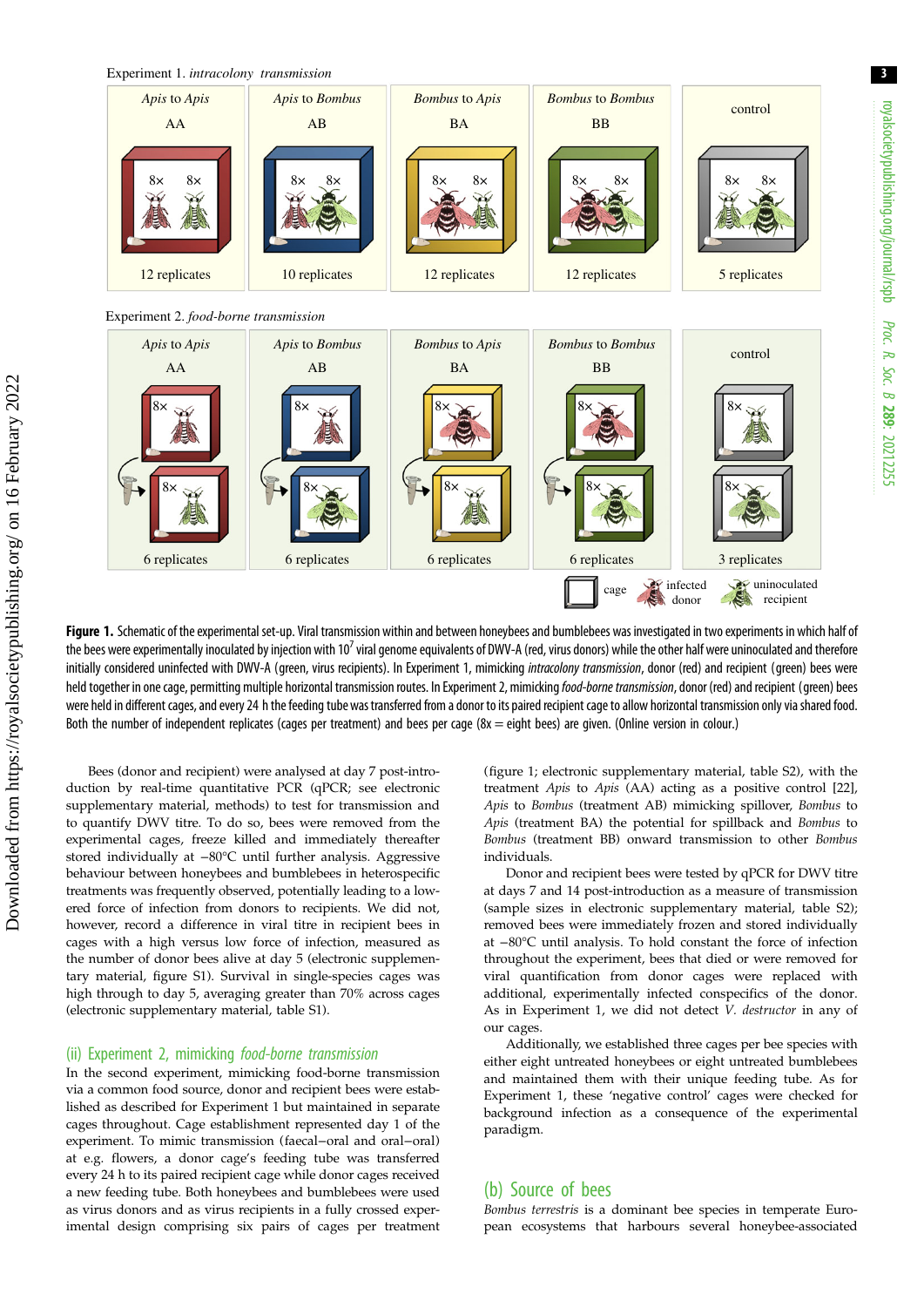<span id="page-2-0"></span>

Experiment 2. *food-borne transmission*



Figure 1. Schematic of the experimental set-up. Viral transmission within and between honeybees and bumblebees was investigated in two experiments in which half of the bees were experimentally inoculated by injection with 10<sup>7</sup> viral genome equivalents of DWV-A (red, virus donors) while the other half were uninoculated and therefore initially considered uninfected with DWV-A (green, virus recipients). In Experiment 1, mimicking intracolony transmission, donor (red) and recipient (green) bees were held together in one cage, permitting multiple horizontal transmission routes. In Experiment 2, mimicking food-borne transmission, donor (red) and recipient (green) bees were held in different cages, and every 24 h the feeding tube was transferred from a donor to its paired recipient cage to allow horizontal transmissiononly via shared food. Both the number of independent replicates (cages per treatment) and bees per cage (8x = eight bees) are given. (Online version in colour.)

Bees (donor and recipient) were analysed at day 7 post-introduction by real-time quantitative PCR (qPCR; see electronic supplementary material, methods) to test for transmission and to quantify DWV titre. To do so, bees were removed from the experimental cages, freeze killed and immediately thereafter stored individually at −80°C until further analysis. Aggressive behaviour between honeybees and bumblebees in heterospecific treatments was frequently observed, potentially leading to a lowered force of infection from donors to recipients. We did not, however, record a difference in viral titre in recipient bees in cages with a high versus low force of infection, measured as the number of donor bees alive at day 5 (electronic supplementary material, figure S1). Survival in single-species cages was high through to day 5, averaging greater than 70% across cages (electronic supplementary material, table S1).

#### (ii) Experiment 2, mimicking food-borne transmission

In the second experiment, mimicking food-borne transmission via a common food source, donor and recipient bees were established as described for Experiment 1 but maintained in separate cages throughout. Cage establishment represented day 1 of the experiment. To mimic transmission (faecal−oral and oral−oral) at e.g. flowers, a donor cage's feeding tube was transferred every 24 h to its paired recipient cage while donor cages received a new feeding tube. Both honeybees and bumblebees were used as virus donors and as virus recipients in a fully crossed experimental design comprising six pairs of cages per treatment (figure 1; electronic supplementary material, table S2), with the treatment Apis to Apis (AA) acting as a positive control [\[22\]](#page-7-0), Apis to Bombus (treatment AB) mimicking spillover, Bombus to Apis (treatment BA) the potential for spillback and Bombus to Bombus (treatment BB) onward transmission to other Bombus individuals.

Donor and recipient bees were tested by qPCR for DWV titre at days 7 and 14 post-introduction as a measure of transmission (sample sizes in electronic supplementary material, table S2); removed bees were immediately frozen and stored individually at −80°C until analysis. To hold constant the force of infection throughout the experiment, bees that died or were removed for viral quantification from donor cages were replaced with additional, experimentally infected conspecifics of the donor. As in Experiment 1, we did not detect V. destructor in any of our cages.

Additionally, we established three cages per bee species with either eight untreated honeybees or eight untreated bumblebees and maintained them with their unique feeding tube. As for Experiment 1, these 'negative control' cages were checked for background infection as a consequence of the experimental paradigm.

#### (b) Source of bees

Bombus terrestris is a dominant bee species in temperate European ecosystems that harbours several honeybee-associated 3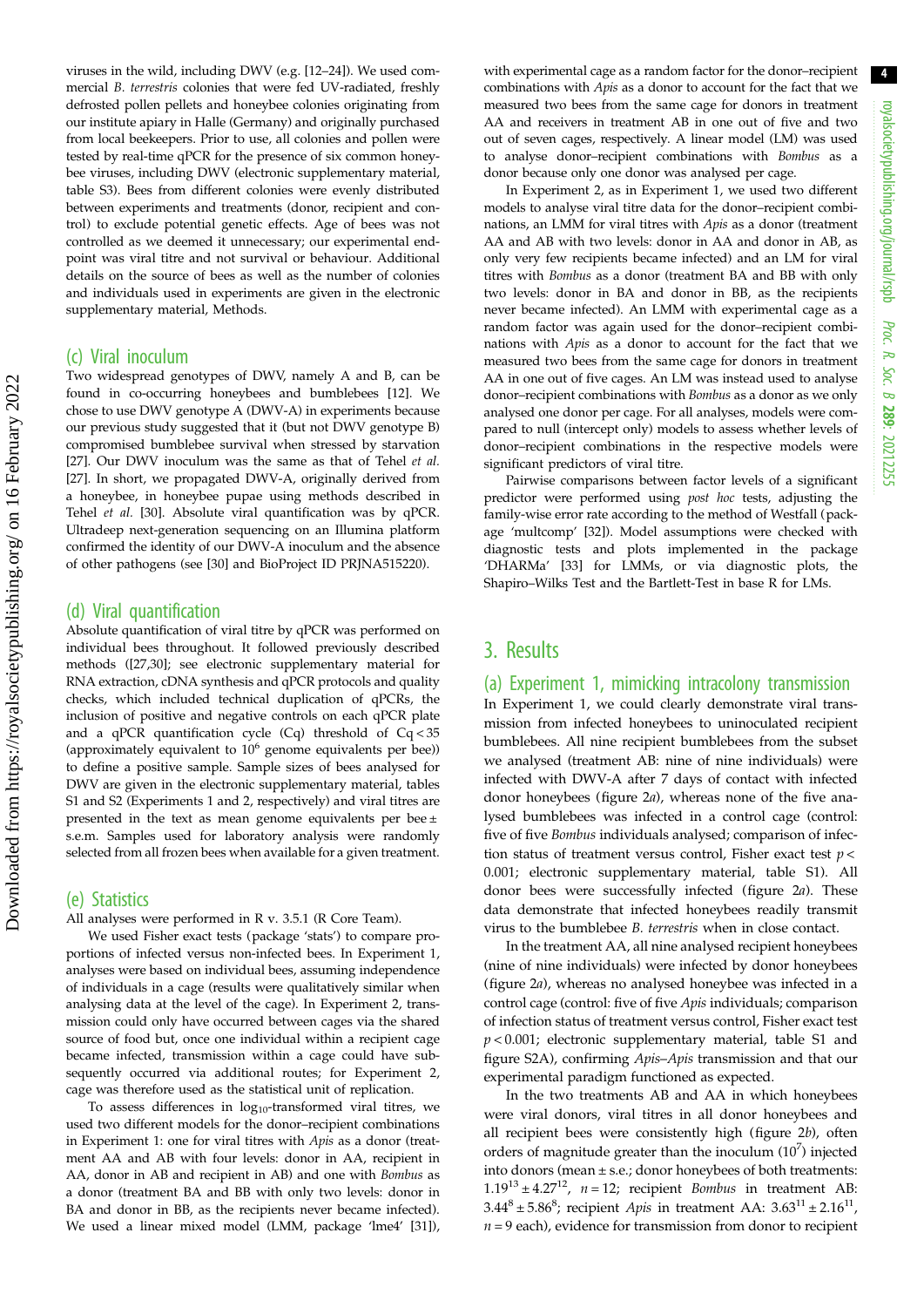viruses in the wild, including DWV (e.g. [[12](#page-7-0)–[24](#page-7-0)]). We used commercial B. terrestris colonies that were fed UV-radiated, freshly defrosted pollen pellets and honeybee colonies originating from our institute apiary in Halle (Germany) and originally purchased from local beekeepers. Prior to use, all colonies and pollen were tested by real-time qPCR for the presence of six common honeybee viruses, including DWV (electronic supplementary material, table S3). Bees from different colonies were evenly distributed between experiments and treatments (donor, recipient and control) to exclude potential genetic effects. Age of bees was not controlled as we deemed it unnecessary; our experimental endpoint was viral titre and not survival or behaviour. Additional details on the source of bees as well as the number of colonies and individuals used in experiments are given in the electronic supplementary material, Methods.

#### (c) Viral inoculum

Two widespread genotypes of DWV, namely A and B, can be found in co-occurring honeybees and bumblebees [\[12\]](#page-7-0). We chose to use DWV genotype A (DWV-A) in experiments because our previous study suggested that it (but not DWV genotype B) compromised bumblebee survival when stressed by starvation [\[27\]](#page-7-0). Our DWV inoculum was the same as that of Tehel et al. [\[27\]](#page-7-0). In short, we propagated DWV-A, originally derived from a honeybee, in honeybee pupae using methods described in Tehel et al. [\[30\]](#page-7-0). Absolute viral quantification was by qPCR. Ultradeep next-generation sequencing on an Illumina platform confirmed the identity of our DWV-A inoculum and the absence of other pathogens (see [\[30\]](#page-7-0) and BioProject ID PRJNA515220).

#### (d) Viral quantification

Absolute quantification of viral titre by qPCR was performed on individual bees throughout. It followed previously described methods ([\[27,30](#page-7-0)]; see electronic supplementary material for RNA extraction, cDNA synthesis and qPCR protocols and quality checks, which included technical duplication of qPCRs, the inclusion of positive and negative controls on each qPCR plate and a qPCR quantification cycle (Cq) threshold of Cq < 35 (approximately equivalent to  $10^6$  genome equivalents per bee)) to define a positive sample. Sample sizes of bees analysed for DWV are given in the electronic supplementary material, tables S1 and S2 (Experiments 1 and 2, respectively) and viral titres are presented in the text as mean genome equivalents per bee ± s.e.m. Samples used for laboratory analysis were randomly selected from all frozen bees when available for a given treatment.

#### (e) Statistics

All analyses were performed in R v. 3.5.1 (R Core Team).

We used Fisher exact tests (package 'stats') to compare proportions of infected versus non-infected bees. In Experiment 1, analyses were based on individual bees, assuming independence of individuals in a cage (results were qualitatively similar when analysing data at the level of the cage). In Experiment 2, transmission could only have occurred between cages via the shared source of food but, once one individual within a recipient cage became infected, transmission within a cage could have subsequently occurred via additional routes; for Experiment 2, cage was therefore used as the statistical unit of replication.

To assess differences in  $log_{10}$ -transformed viral titres, we used two different models for the donor–recipient combinations in Experiment 1: one for viral titres with Apis as a donor (treatment AA and AB with four levels: donor in AA, recipient in AA, donor in AB and recipient in AB) and one with Bombus as a donor (treatment BA and BB with only two levels: donor in BA and donor in BB, as the recipients never became infected). We used a linear mixed model (LMM, package 'lme4' [\[31\]](#page-7-0)), with experimental cage as a random factor for the donor–recipient combinations with Apis as a donor to account for the fact that we measured two bees from the same cage for donors in treatment AA and receivers in treatment AB in one out of five and two out of seven cages, respectively. A linear model (LM) was used to analyse donor–recipient combinations with Bombus as a donor because only one donor was analysed per cage.

In Experiment 2, as in Experiment 1, we used two different models to analyse viral titre data for the donor–recipient combinations, an LMM for viral titres with Apis as a donor (treatment AA and AB with two levels: donor in AA and donor in AB, as only very few recipients became infected) and an LM for viral titres with Bombus as a donor (treatment BA and BB with only two levels: donor in BA and donor in BB, as the recipients never became infected). An LMM with experimental cage as a random factor was again used for the donor–recipient combinations with Apis as a donor to account for the fact that we measured two bees from the same cage for donors in treatment AA in one out of five cages. An LM was instead used to analyse donor–recipient combinations with Bombus as a donor as we only analysed one donor per cage. For all analyses, models were compared to null (intercept only) models to assess whether levels of donor–recipient combinations in the respective models were significant predictors of viral titre.

Pairwise comparisons between factor levels of a significant predictor were performed using post hoc tests, adjusting the family-wise error rate according to the method of Westfall (package 'multcomp' [\[32\]](#page-7-0)). Model assumptions were checked with diagnostic tests and plots implemented in the package 'DHARMa' [\[33\]](#page-7-0) for LMMs, or via diagnostic plots, the Shapiro–Wilks Test and the Bartlett-Test in base R for LMs.

### 3. Results

#### (a) Experiment 1, mimicking intracolony transmission

In Experiment 1, we could clearly demonstrate viral transmission from infected honeybees to uninoculated recipient bumblebees. All nine recipient bumblebees from the subset we analysed (treatment AB: nine of nine individuals) were infected with DWV-A after 7 days of contact with infected donor honeybees ([figure 2](#page-4-0)a), whereas none of the five analysed bumblebees was infected in a control cage (control: five of five Bombus individuals analysed; comparison of infection status of treatment versus control, Fisher exact test  $p <$ 0.001; electronic supplementary material, table S1). All donor bees were successfully infected [\(figure 2](#page-4-0)a). These data demonstrate that infected honeybees readily transmit virus to the bumblebee B. terrestris when in close contact.

In the treatment AA, all nine analysed recipient honeybees (nine of nine individuals) were infected by donor honeybees ([figure 2](#page-4-0)a), whereas no analysed honeybee was infected in a control cage (control: five of five Apis individuals; comparison of infection status of treatment versus control, Fisher exact test  $p < 0.001$ ; electronic supplementary material, table S1 and figure S2A), confirming Apis–Apis transmission and that our experimental paradigm functioned as expected.

In the two treatments AB and AA in which honeybees were viral donors, viral titres in all donor honeybees and all recipient bees were consistently high ([figure 2](#page-4-0)b), often orders of magnitude greater than the inoculum  $(10^7)$  injected into donors (mean ± s.e.; donor honeybees of both treatments:  $1.19^{13} \pm 4.27^{12}$ ,  $n = 12$ ; recipient *Bombus* in treatment AB:  $3.44^8 \pm 5.86^8$ ; recipient *Apis* in treatment AA:  $3.63^{11} \pm 2.16^{11}$ ,  $n = 9$  each), evidence for transmission from donor to recipient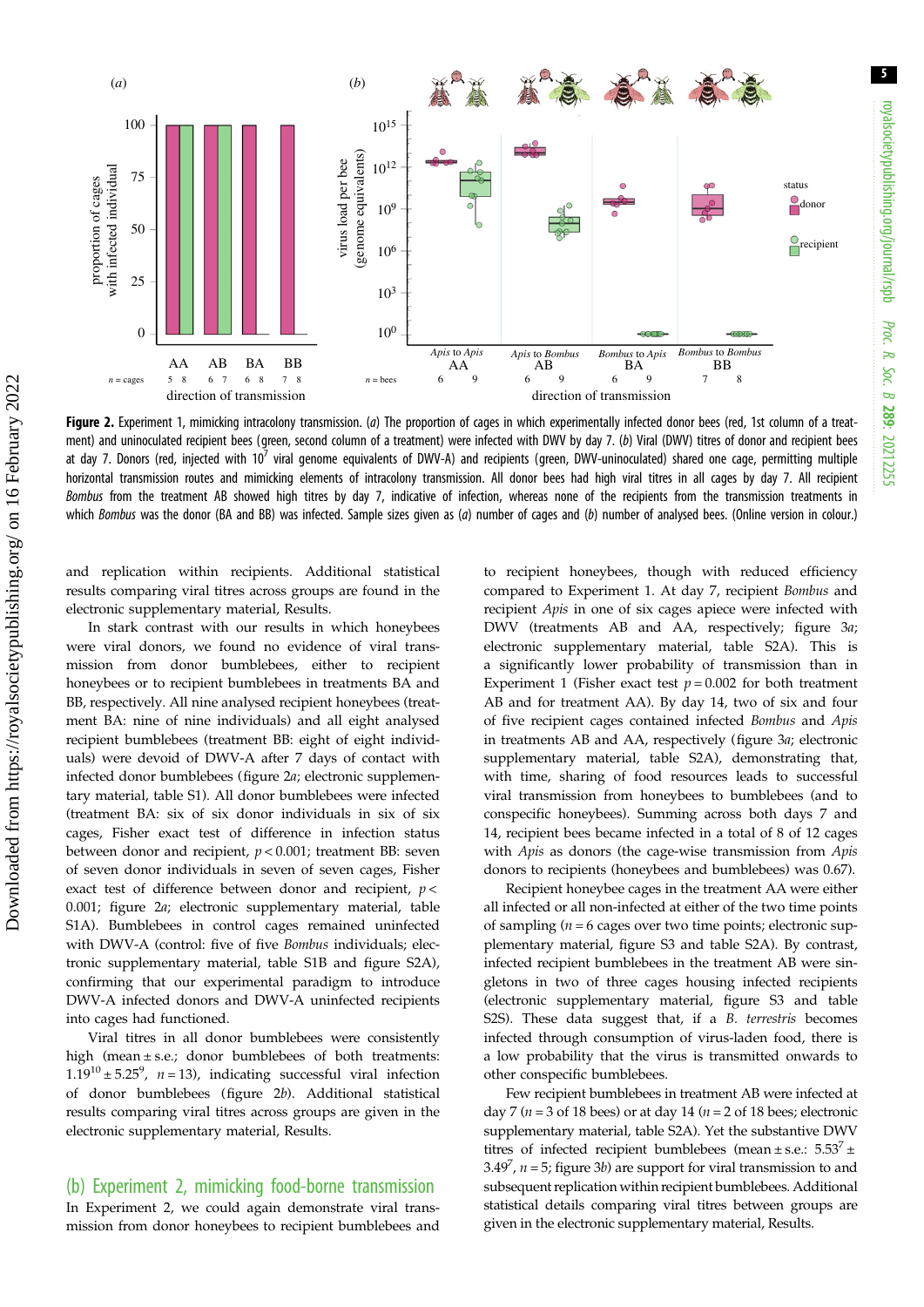<span id="page-4-0"></span>

Figure 2. Experiment 1, mimicking intracolony transmission. (a) The proportion of cages in which experimentally infected donor bees (red, 1st column of a treatment) and uninoculated recipient bees (green, second column of a treatment) were infected with DWV by day 7. (b) Viral (DWV) titres of donor and recipient bees at day 7. Donors (red, injected with  $10<sup>7</sup>$  viral genome equivalents of DWV-A) and recipients (green, DWV-uninoculated) shared one cage, permitting multiple horizontal transmission routes and mimicking elements of intracolony transmission. All donor bees had high viral titres in all cages by day 7. All recipient Bombus from the treatment AB showed high titres by day 7, indicative of infection, whereas none of the recipients from the transmission treatments in which Bombus was the donor (BA and BB) was infected. Sample sizes given as  $(a)$  number of cages and  $(b)$  number of analysed bees. (Online version in colour.)

and replication within recipients. Additional statistical results comparing viral titres across groups are found in the electronic supplementary material, Results.

In stark contrast with our results in which honeybees were viral donors, we found no evidence of viral transmission from donor bumblebees, either to recipient honeybees or to recipient bumblebees in treatments BA and BB, respectively. All nine analysed recipient honeybees (treatment BA: nine of nine individuals) and all eight analysed recipient bumblebees (treatment BB: eight of eight individuals) were devoid of DWV-A after 7 days of contact with infected donor bumblebees (figure 2a; electronic supplementary material, table S1). All donor bumblebees were infected (treatment BA: six of six donor individuals in six of six cages, Fisher exact test of difference in infection status between donor and recipient,  $p < 0.001$ ; treatment BB: seven of seven donor individuals in seven of seven cages, Fisher exact test of difference between donor and recipient,  $p <$ 0.001; figure 2a; electronic supplementary material, table S1A). Bumblebees in control cages remained uninfected with DWV-A (control: five of five Bombus individuals; electronic supplementary material, table S1B and figure S2A), confirming that our experimental paradigm to introduce DWV-A infected donors and DWV-A uninfected recipients into cages had functioned.

Viral titres in all donor bumblebees were consistently high (mean ± s.e.; donor bumblebees of both treatments:  $1.19^{10} \pm 5.25^9$ ,  $n = 13$ ), indicating successful viral infection of donor bumblebees (figure 2b). Additional statistical results comparing viral titres across groups are given in the electronic supplementary material, Results.

#### (b) Experiment 2, mimicking food-borne transmission

In Experiment 2, we could again demonstrate viral transmission from donor honeybees to recipient bumblebees and to recipient honeybees, though with reduced efficiency compared to Experiment 1. At day 7, recipient Bombus and recipient Apis in one of six cages apiece were infected with DWV (treatments AB and AA, respectively; [figure 3](#page-5-0)a; electronic supplementary material, table S2A). This is a significantly lower probability of transmission than in Experiment 1 (Fisher exact test  $p = 0.002$  for both treatment AB and for treatment AA). By day 14, two of six and four of five recipient cages contained infected Bombus and Apis in treatments AB and AA, respectively [\(figure 3](#page-5-0)a; electronic supplementary material, table S2A), demonstrating that, with time, sharing of food resources leads to successful viral transmission from honeybees to bumblebees (and to conspecific honeybees). Summing across both days 7 and 14, recipient bees became infected in a total of 8 of 12 cages with Apis as donors (the cage-wise transmission from Apis donors to recipients (honeybees and bumblebees) was 0.67).

Recipient honeybee cages in the treatment AA were either all infected or all non-infected at either of the two time points of sampling ( $n = 6$  cages over two time points; electronic supplementary material, figure S3 and table S2A). By contrast, infected recipient bumblebees in the treatment AB were singletons in two of three cages housing infected recipients (electronic supplementary material, figure S3 and table S2S). These data suggest that, if a B. terrestris becomes infected through consumption of virus-laden food, there is a low probability that the virus is transmitted onwards to other conspecific bumblebees.

Few recipient bumblebees in treatment AB were infected at day 7 ( $n = 3$  of 18 bees) or at day 14 ( $n = 2$  of 18 bees; electronic supplementary material, table S2A). Yet the substantive DWV titres of infected recipient bumblebees (mean  $\pm$  s.e.:  $5.53^7 \pm$ 3.49<sup>7</sup>,  $n = 5$ ; [figure 3](#page-5-0)*b*) are support for viral transmission to and subsequent replication within recipient bumblebees. Additional statistical details comparing viral titres between groups are given in the electronic supplementary material, Results.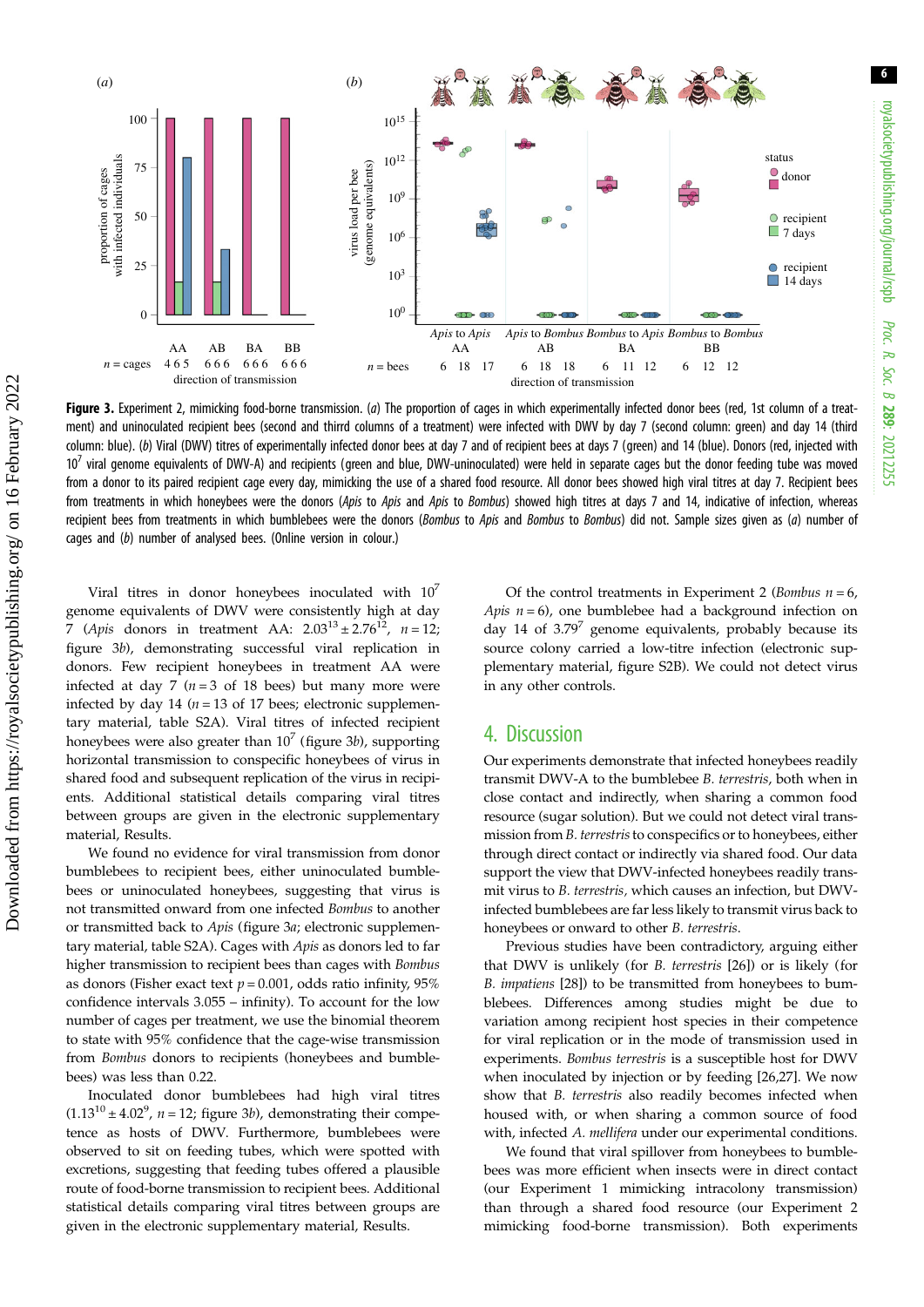<span id="page-5-0"></span>

Figure 3. Experiment 2, mimicking food-borne transmission. (a) The proportion of cages in which experimentally infected donor bees (red, 1st column of a treatment) and uninoculated recipient bees (second and thirrd columns of a treatment) were infected with DWV by day 7 (second column: green) and day 14 (third column: blue). (b) Viral (DWV) titres of experimentally infected donor bees at day 7 and of recipient bees at days 7 (green) and 14 (blue). Donors (red, injected with 107 viral genome equivalents of DWV-A) and recipients (green and blue, DWV-uninoculated) were held in separate cages but the donor feeding tube was moved from a donor to its paired recipient cage every day, mimicking the use of a shared food resource. All donor bees showed high viral titres at day 7. Recipient bees from treatments in which honeybees were the donors (Apis to Apis and Apis to Bombus) showed high titres at days 7 and 14, indicative of infection, whereas recipient bees from treatments in which bumblebees were the donors (Bombus to Apis and Bombus to Bombus) did not. Sample sizes given as (a) number of cages and (b) number of analysed bees. (Online version in colour.)

Viral titres in donor honeybees inoculated with  $10^7$ genome equivalents of DWV were consistently high at day 7 (Apis donors in treatment AA:  $2.03^{13} \pm 2.76^{12}$ ,  $n = 12$ ; figure 3b), demonstrating successful viral replication in donors. Few recipient honeybees in treatment AA were infected at day 7 ( $n = 3$  of 18 bees) but many more were infected by day 14 ( $n = 13$  of 17 bees; electronic supplementary material, table S2A). Viral titres of infected recipient honeybees were also greater than  $10^7$  (figure 3b), supporting horizontal transmission to conspecific honeybees of virus in shared food and subsequent replication of the virus in recipients. Additional statistical details comparing viral titres between groups are given in the electronic supplementary material, Results.

We found no evidence for viral transmission from donor bumblebees to recipient bees, either uninoculated bumblebees or uninoculated honeybees, suggesting that virus is not transmitted onward from one infected Bombus to another or transmitted back to Apis (figure 3a; electronic supplementary material, table S2A). Cages with Apis as donors led to far higher transmission to recipient bees than cages with Bombus as donors (Fisher exact text  $p = 0.001$ , odds ratio infinity, 95% confidence intervals 3.055 – infinity). To account for the low number of cages per treatment, we use the binomial theorem to state with 95% confidence that the cage-wise transmission from Bombus donors to recipients (honeybees and bumblebees) was less than 0.22.

Inoculated donor bumblebees had high viral titres  $(1.13<sup>10</sup> \pm 4.02<sup>9</sup>$ ,  $n = 12$ ; figure 3*b*), demonstrating their competence as hosts of DWV. Furthermore, bumblebees were observed to sit on feeding tubes, which were spotted with excretions, suggesting that feeding tubes offered a plausible route of food-borne transmission to recipient bees. Additional statistical details comparing viral titres between groups are given in the electronic supplementary material, Results.

Of the control treatments in Experiment 2 (*Bombus n* =  $6$ , Apis  $n = 6$ ), one bumblebee had a background infection on day 14 of  $3.79^7$  genome equivalents, probably because its source colony carried a low-titre infection (electronic supplementary material, figure S2B). We could not detect virus in any other controls.

### 4. Discussion

Our experiments demonstrate that infected honeybees readily transmit DWV-A to the bumblebee B. terrestris, both when in close contact and indirectly, when sharing a common food resource (sugar solution). But we could not detect viral transmission from B. terrestris to conspecifics or to honeybees, either through direct contact or indirectly via shared food. Our data support the view that DWV-infected honeybees readily transmit virus to B. terrestris, which causes an infection, but DWVinfected bumblebees are far less likely to transmit virus back to honeybees or onward to other B. terrestris.

Previous studies have been contradictory, arguing either that DWV is unlikely (for B. terrestris [[26\]](#page-7-0)) or is likely (for B. impatiens [[28\]](#page-7-0)) to be transmitted from honeybees to bumblebees. Differences among studies might be due to variation among recipient host species in their competence for viral replication or in the mode of transmission used in experiments. Bombus terrestris is a susceptible host for DWV when inoculated by injection or by feeding [[26,27](#page-7-0)]. We now show that B. terrestris also readily becomes infected when housed with, or when sharing a common source of food with, infected A. mellifera under our experimental conditions.

We found that viral spillover from honeybees to bumblebees was more efficient when insects were in direct contact (our Experiment 1 mimicking intracolony transmission) than through a shared food resource (our Experiment 2 mimicking food-borne transmission). Both experiments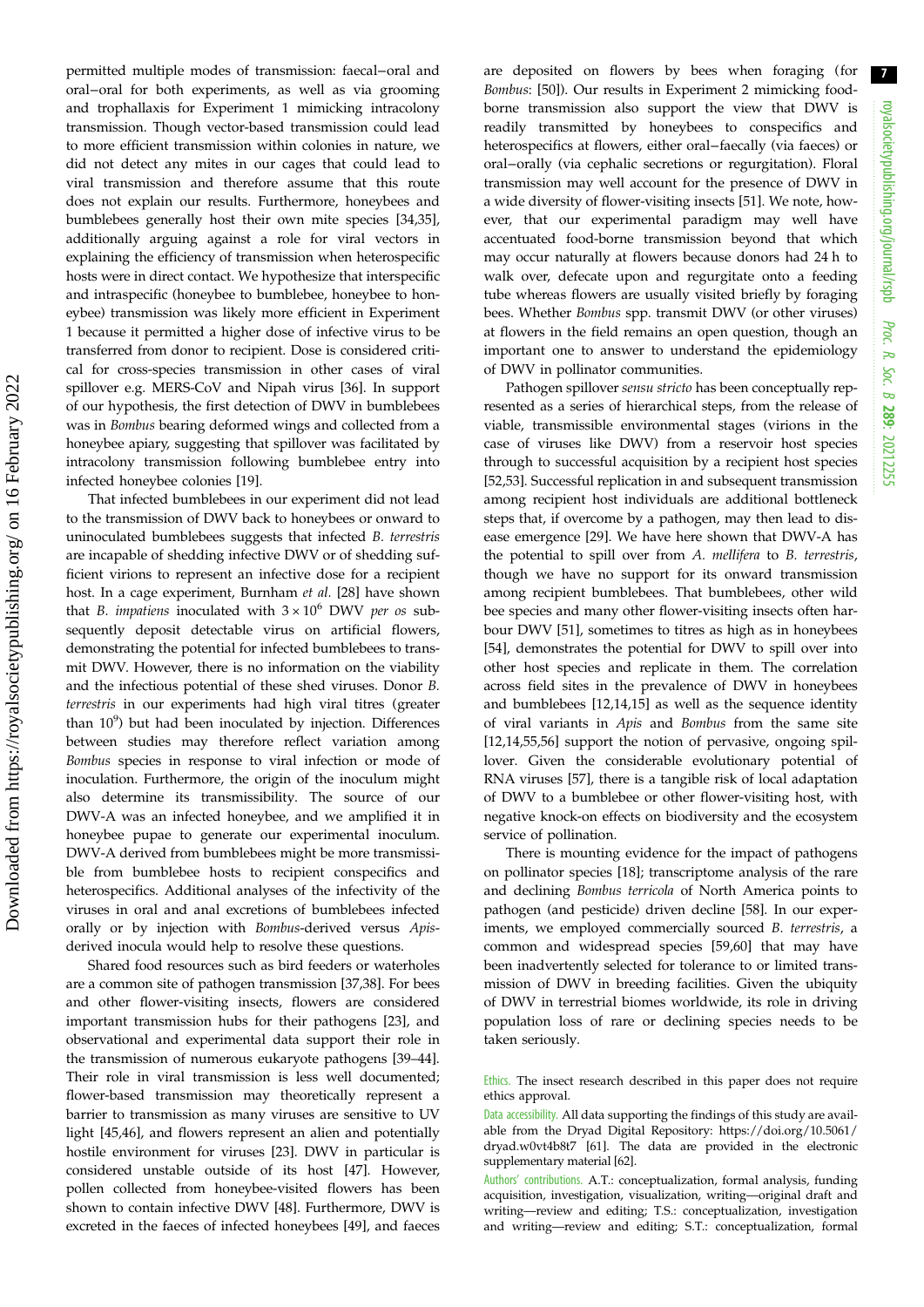permitted multiple modes of transmission: faecal−oral and oral−oral for both experiments, as well as via grooming and trophallaxis for Experiment 1 mimicking intracolony transmission. Though vector-based transmission could lead to more efficient transmission within colonies in nature, we did not detect any mites in our cages that could lead to viral transmission and therefore assume that this route does not explain our results. Furthermore, honeybees and bumblebees generally host their own mite species [\[34,35](#page-8-0)], additionally arguing against a role for viral vectors in explaining the efficiency of transmission when heterospecific hosts were in direct contact. We hypothesize that interspecific and intraspecific (honeybee to bumblebee, honeybee to honeybee) transmission was likely more efficient in Experiment 1 because it permitted a higher dose of infective virus to be transferred from donor to recipient. Dose is considered critical for cross-species transmission in other cases of viral spillover e.g. MERS-CoV and Nipah virus [\[36](#page-8-0)]. In support of our hypothesis, the first detection of DWV in bumblebees was in Bombus bearing deformed wings and collected from a honeybee apiary, suggesting that spillover was facilitated by intracolony transmission following bumblebee entry into infected honeybee colonies [\[19](#page-7-0)].

That infected bumblebees in our experiment did not lead to the transmission of DWV back to honeybees or onward to uninoculated bumblebees suggests that infected B. terrestris are incapable of shedding infective DWV or of shedding sufficient virions to represent an infective dose for a recipient host. In a cage experiment, Burnham et al. [[28\]](#page-7-0) have shown that B. impatiens inoculated with  $3 \times 10^6$  DWV per os subsequently deposit detectable virus on artificial flowers, demonstrating the potential for infected bumblebees to transmit DWV. However, there is no information on the viability and the infectious potential of these shed viruses. Donor B. terrestris in our experiments had high viral titres (greater than  $10^9$ ) but had been inoculated by injection. Differences between studies may therefore reflect variation among Bombus species in response to viral infection or mode of inoculation. Furthermore, the origin of the inoculum might also determine its transmissibility. The source of our DWV-A was an infected honeybee, and we amplified it in honeybee pupae to generate our experimental inoculum. DWV-A derived from bumblebees might be more transmissible from bumblebee hosts to recipient conspecifics and heterospecifics. Additional analyses of the infectivity of the viruses in oral and anal excretions of bumblebees infected orally or by injection with Bombus-derived versus Apisderived inocula would help to resolve these questions.

Shared food resources such as bird feeders or waterholes are a common site of pathogen transmission [[37,38\]](#page-8-0). For bees and other flower-visiting insects, flowers are considered important transmission hubs for their pathogens [[23\]](#page-7-0), and observational and experimental data support their role in the transmission of numerous eukaryote pathogens [[39](#page-8-0)–[44](#page-8-0)]. Their role in viral transmission is less well documented; flower-based transmission may theoretically represent a barrier to transmission as many viruses are sensitive to UV light [\[45](#page-8-0),[46\]](#page-8-0), and flowers represent an alien and potentially hostile environment for viruses [[23\]](#page-7-0). DWV in particular is considered unstable outside of its host [[47\]](#page-8-0). However, pollen collected from honeybee-visited flowers has been shown to contain infective DWV [[48\]](#page-8-0). Furthermore, DWV is excreted in the faeces of infected honeybees [\[49](#page-8-0)], and faeces are deposited on flowers by bees when foraging (for Bombus: [\[50](#page-8-0)]). Our results in Experiment 2 mimicking foodborne transmission also support the view that DWV is readily transmitted by honeybees to conspecifics and heterospecifics at flowers, either oral−faecally (via faeces) or oral−orally (via cephalic secretions or regurgitation). Floral transmission may well account for the presence of DWV in a wide diversity of flower-visiting insects [[51\]](#page-8-0). We note, however, that our experimental paradigm may well have accentuated food-borne transmission beyond that which may occur naturally at flowers because donors had 24 h to walk over, defecate upon and regurgitate onto a feeding tube whereas flowers are usually visited briefly by foraging bees. Whether Bombus spp. transmit DWV (or other viruses) at flowers in the field remains an open question, though an important one to answer to understand the epidemiology of DWV in pollinator communities.

Pathogen spillover sensu stricto has been conceptually represented as a series of hierarchical steps, from the release of viable, transmissible environmental stages (virions in the case of viruses like DWV) from a reservoir host species through to successful acquisition by a recipient host species [[52,53\]](#page-8-0). Successful replication in and subsequent transmission among recipient host individuals are additional bottleneck steps that, if overcome by a pathogen, may then lead to disease emergence [\[29](#page-7-0)]. We have here shown that DWV-A has the potential to spill over from A. mellifera to B. terrestris, though we have no support for its onward transmission among recipient bumblebees. That bumblebees, other wild bee species and many other flower-visiting insects often harbour DWV [[51\]](#page-8-0), sometimes to titres as high as in honeybees [[54\]](#page-8-0), demonstrates the potential for DWV to spill over into other host species and replicate in them. The correlation across field sites in the prevalence of DWV in honeybees and bumblebees [\[12](#page-7-0),[14,15\]](#page-7-0) as well as the sequence identity of viral variants in Apis and Bombus from the same site [[12,14](#page-7-0)[,55,56](#page-8-0)] support the notion of pervasive, ongoing spillover. Given the considerable evolutionary potential of RNA viruses [[57\]](#page-8-0), there is a tangible risk of local adaptation of DWV to a bumblebee or other flower-visiting host, with negative knock-on effects on biodiversity and the ecosystem service of pollination.

There is mounting evidence for the impact of pathogens on pollinator species [[18\]](#page-7-0); transcriptome analysis of the rare and declining Bombus terricola of North America points to pathogen (and pesticide) driven decline [[58\]](#page-8-0). In our experiments, we employed commercially sourced B. terrestris, a common and widespread species [\[59](#page-8-0),[60\]](#page-8-0) that may have been inadvertently selected for tolerance to or limited transmission of DWV in breeding facilities. Given the ubiquity of DWV in terrestrial biomes worldwide, its role in driving population loss of rare or declining species needs to be taken seriously.

Ethics. The insect research described in this paper does not require ethics approval.

Data accessibility. All data supporting the findings of this study are available from the Dryad Digital Repository: [https://doi.org/10.5061/](https://doi.org/10.5061/dryad.w0vt4b8t7) [dryad.w0vt4b8t7](https://doi.org/10.5061/dryad.w0vt4b8t7) [\[61](#page-8-0)]. The data are provided in the electronic supplementary material [\[62\]](#page-8-0).

Authors' contributions. A.T.: conceptualization, formal analysis, funding acquisition, investigation, visualization, writing—original draft and writing—review and editing; T.S.: conceptualization, investigation and writing—review and editing; S.T.: conceptualization, formal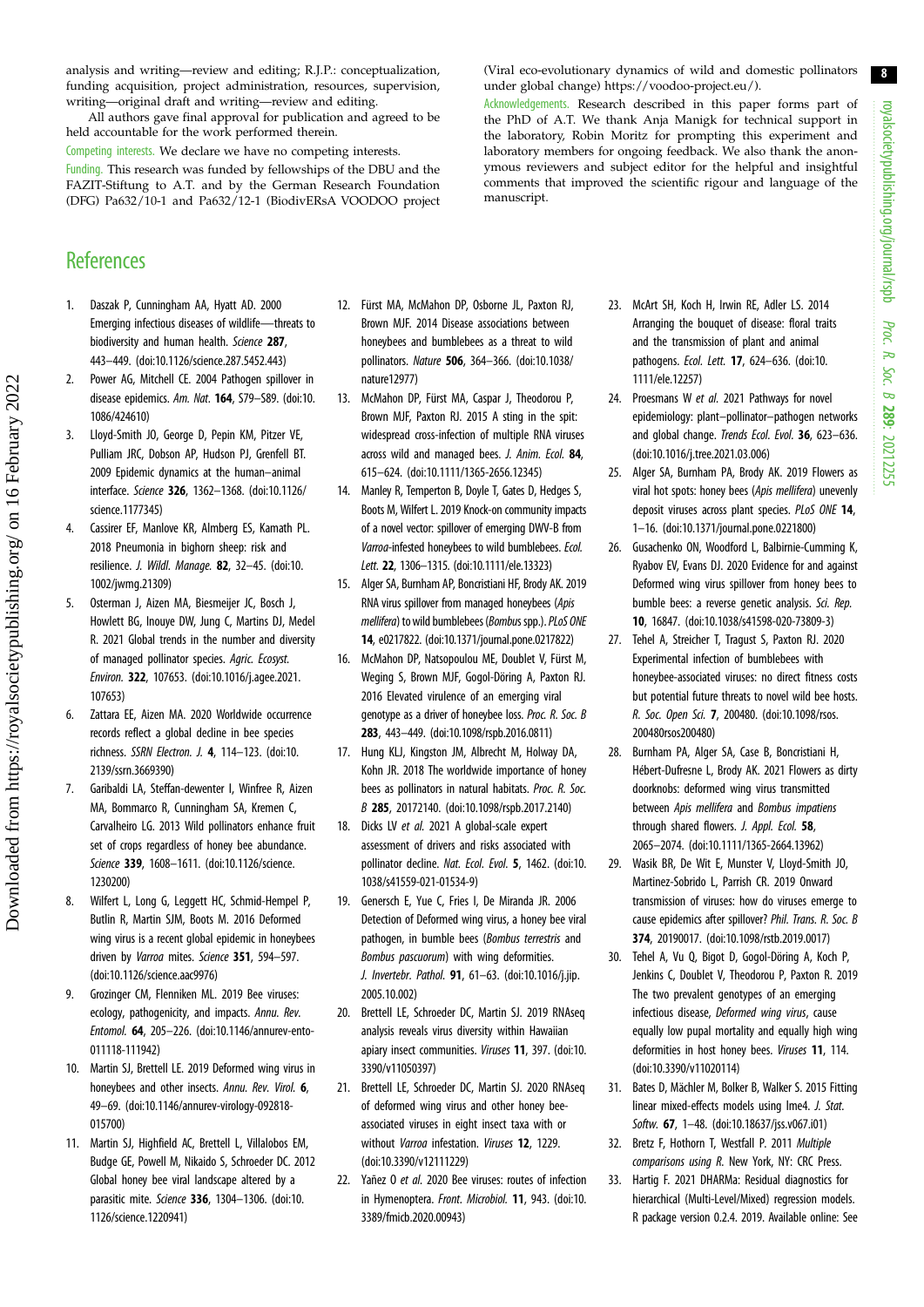<span id="page-7-0"></span>analysis and writing—review and editing; R.J.P.: conceptualization, funding acquisition, project administration, resources, supervision, writing—original draft and writing—review and editing.

All authors gave final approval for publication and agreed to be held accountable for the work performed therein.

Competing interests. We declare we have no competing interests. Funding. This research was funded by fellowships of the DBU and the FAZIT-Stiftung to A.T. and by the German Research Foundation (DFG) Pa632/10-1 and Pa632/12-1 (BiodivERsA VOODOO project

## **References**

- 1. Daszak P, Cunningham AA, Hyatt AD. 2000 Emerging infectious diseases of wildlife—threats to biodiversity and human health. Science 287, 443–449. ([doi:10.1126/science.287.5452.443](https://doi.org/10.1126/science.287.5452.443))
- 2. Power AG, Mitchell CE. 2004 Pathogen spillover in disease epidemics. Am. Nat. 164, S79-S89. ([doi:10.](http://dx.doi.org/10.1086/424610) [1086/424610](http://dx.doi.org/10.1086/424610))
- 3. Lloyd-Smith JO, George D, Pepin KM, Pitzer VE, Pulliam JRC, Dobson AP, Hudson PJ, Grenfell BT. 2009 Epidemic dynamics at the human–animal interface. Science 326, 1362–1368. ([doi:10.1126/](https://doi.org/10.1126/science.1177345) [science.1177345\)](https://doi.org/10.1126/science.1177345)
- 4. Cassirer EF, Manlove KR, Almberg ES, Kamath PL. 2018 Pneumonia in bighorn sheep: risk and resilience. J. Wildl. Manage. 82, 32–45. ([doi:10.](http://dx.doi.org/10.1002/jwmg.21309) [1002/jwmg.21309](http://dx.doi.org/10.1002/jwmg.21309))
- 5. Osterman J, Aizen MA, Biesmeijer JC, Bosch J, Howlett BG, Inouye DW, Jung C, Martins DJ, Medel R. 2021 Global trends in the number and diversity of managed pollinator species. Agric. Ecosyst. Environ. 322, 107653. ([doi:10.1016/j.agee.2021.](http://dx.doi.org/10.1016/j.agee.2021.107653) [107653](http://dx.doi.org/10.1016/j.agee.2021.107653))
- 6. Zattara EE, Aizen MA. 2020 Worldwide occurrence records reflect a global decline in bee species richness. SSRN Electron. J. 4, 114–123. ([doi:10.](http://dx.doi.org/10.2139/ssrn.3669390) [2139/ssrn.3669390](http://dx.doi.org/10.2139/ssrn.3669390))
- 7. Garibaldi LA, Steffan-dewenter I, Winfree R, Aizen MA, Bommarco R, Cunningham SA, Kremen C, Carvalheiro LG. 2013 Wild pollinators enhance fruit set of crops regardless of honey bee abundance. Science 339, 1608–1611. ([doi:10.1126/science.](http://dx.doi.org/10.1126/science.1230200) [1230200\)](http://dx.doi.org/10.1126/science.1230200)
- 8. Wilfert L, Long G, Leggett HC, Schmid-Hempel P, Butlin R, Martin SJM, Boots M. 2016 Deformed wing virus is a recent global epidemic in honeybees driven by Varroa mites. Science 351, 594-597. [\(doi:10.1126/science.aac9976](http://dx.doi.org/10.1126/science.aac9976))
- 9. Grozinger CM, Flenniken ML. 2019 Bee viruses: ecology, pathogenicity, and impacts. Annu. Rev. Entomol. 64, 205–226. ([doi:10.1146/annurev-ento-](http://dx.doi.org/10.1146/annurev-ento-011118-111942)[011118-111942](http://dx.doi.org/10.1146/annurev-ento-011118-111942))
- 10. Martin SJ, Brettell LE. 2019 Deformed wing virus in honeybees and other insects. Annu. Rev. Virol. 6, 49–69. [\(doi:10.1146/annurev-virology-092818-](http://dx.doi.org/10.1146/annurev-virology-092818-015700) [015700](http://dx.doi.org/10.1146/annurev-virology-092818-015700))
- 11. Martin SJ, Highfield AC, Brettell L, Villalobos EM, Budge GE, Powell M, Nikaido S, Schroeder DC. 2012 Global honey bee viral landscape altered by a parasitic mite. Science 336, 1304–1306. [\(doi:10.](http://dx.doi.org/10.1126/science.1220941) [1126/science.1220941\)](http://dx.doi.org/10.1126/science.1220941)
- 12. Fürst MA, McMahon DP, Osborne JL, Paxton RJ, Brown MJF. 2014 Disease associations between honeybees and bumblebees as a threat to wild pollinators. Nature 506, 364–366. ([doi:10.1038/](http://dx.doi.org/10.1038/nature12977) [nature12977](http://dx.doi.org/10.1038/nature12977))
- 13. McMahon DP, Fürst MA, Caspar J, Theodorou P, Brown MJF, Paxton RJ. 2015 A sting in the spit: widespread cross-infection of multiple RNA viruses across wild and managed bees. J. Anim. Ecol. 84, 615–624. ([doi:10.1111/1365-2656.12345](http://dx.doi.org/10.1111/1365-2656.12345))
- 14. Manley R, Temperton B, Doyle T, Gates D, Hedges S, Boots M, Wilfert L. 2019 Knock-on community impacts of a novel vector: spillover of emerging DWV-B from Varroa-infested honeybees to wild bumblebees. Ecol. Lett. 22, 1306–1315. [\(doi:10.1111/ele.13323\)](http://dx.doi.org/10.1111/ele.13323)
- 15. Alger SA, Burnham AP, Boncristiani HF, Brody AK. 2019 RNA virus spillover from managed honeybees (Apis mellifera) to wild bumblebees (Bombus spp.). PLoS ONE 14, e0217822. [\(doi:10.1371/journal.pone.0217822\)](http://dx.doi.org/10.1371/journal.pone.0217822)
- 16. McMahon DP, Natsopoulou ME, Doublet V, Fürst M, Weging S, Brown MJF, Gogol-Döring A, Paxton RJ. 2016 Elevated virulence of an emerging viral genotype as a driver of honeybee loss. Proc. R. Soc. B 283, 443–449. [\(doi:10.1098/rspb.2016.0811\)](http://dx.doi.org/10.1098/rspb.2016.0811)
- 17. Hung KLJ, Kingston JM, Albrecht M, Holway DA, Kohn JR. 2018 The worldwide importance of honey bees as pollinators in natural habitats. Proc. R. Soc. B 285, 20172140. [\(doi:10.1098/rspb.2017.2140](http://dx.doi.org/10.1098/rspb.2017.2140))
- 18. Dicks LV et al. 2021 A global-scale expert assessment of drivers and risks associated with pollinator decline. Nat. Ecol. Evol. 5, 1462. [\(doi:10.](http://dx.doi.org/10.1038/s41559-021-01534-9) [1038/s41559-021-01534-9\)](http://dx.doi.org/10.1038/s41559-021-01534-9)
- 19. Genersch E, Yue C, Fries I, De Miranda JR. 2006 Detection of Deformed wing virus, a honey bee viral pathogen, in bumble bees (Bombus terrestris and Bombus pascuorum) with wing deformities. J. Invertebr. Pathol. 91, 61–63. [\(doi:10.1016/j.jip.](http://dx.doi.org/10.1016/j.jip.2005.10.002) [2005.10.002\)](http://dx.doi.org/10.1016/j.jip.2005.10.002)
- 20. Brettell LE, Schroeder DC, Martin SJ. 2019 RNAseq analysis reveals virus diversity within Hawaiian apiary insect communities. Viruses 11, 397. [\(doi:10.](http://dx.doi.org/10.3390/v11050397) [3390/v11050397\)](http://dx.doi.org/10.3390/v11050397)
- 21. Brettell LE, Schroeder DC, Martin SJ. 2020 RNAseq of deformed wing virus and other honey beeassociated viruses in eight insect taxa with or without Varroa infestation. Viruses 12, 1229. [\(doi:10.3390/v12111229\)](http://dx.doi.org/10.3390/v12111229)
- 22. Yañez O et al. 2020 Bee viruses: routes of infection in Hymenoptera. Front. Microbiol. 11, 943. [\(doi:10.](http://dx.doi.org/10.3389/fmicb.2020.00943) [3389/fmicb.2020.00943\)](http://dx.doi.org/10.3389/fmicb.2020.00943)

(Viral eco-evolutionary dynamics of wild and domestic pollinators under global change)<https://voodoo-project.eu/>).

Acknowledgements. Research described in this paper forms part of the PhD of A.T. We thank Anja Manigk for technical support in the laboratory, Robin Moritz for prompting this experiment and laboratory members for ongoing feedback. We also thank the anonymous reviewers and subject editor for the helpful and insightful comments that improved the scientific rigour and language of the manuscript.

- 23. McArt SH, Koch H, Irwin RE, Adler LS. 2014 Arranging the bouquet of disease: floral traits and the transmission of plant and animal pathogens. Ecol. Lett. **17**, 624-636. ([doi:10.](http://dx.doi.org/10.1111/ele.12257) [1111/ele.12257](http://dx.doi.org/10.1111/ele.12257))
- 24. Proesmans W et al. 2021 Pathways for novel epidemiology: plant–pollinator–pathogen networks and global change. Trends Ecol. Evol. 36, 623–636. ([doi:10.1016/j.tree.2021.03.006\)](http://dx.doi.org/10.1016/j.tree.2021.03.006)
- 25. Alger SA, Burnham PA, Brody AK. 2019 Flowers as viral hot spots: honey bees (Apis mellifera) unevenly deposit viruses across plant species. PLoS ONE 14, 1–16. [\(doi:10.1371/journal.pone.0221800\)](http://dx.doi.org/10.1371/journal.pone.0221800)
- 26. Gusachenko ON, Woodford L, Balbirnie-Cumming K, Ryabov EV, Evans DJ. 2020 Evidence for and against Deformed wing virus spillover from honey bees to bumble bees: a reverse genetic analysis. Sci. Rep. 10, 16847. ([doi:10.1038/s41598-020-73809-3](http://dx.doi.org/10.1038/s41598-020-73809-3))
- 27. Tehel A, Streicher T, Tragust S, Paxton RJ. 2020 Experimental infection of bumblebees with honeybee-associated viruses: no direct fitness costs but potential future threats to novel wild bee hosts. R. Soc. Open Sci. 7, 200480. ([doi:10.1098/rsos.](http://dx.doi.org/10.1098/rsos.200480rsos200480) [200480rsos200480\)](http://dx.doi.org/10.1098/rsos.200480rsos200480)
- 28. Burnham PA, Alger SA, Case B, Boncristiani H, Hébert-Dufresne L, Brody AK. 2021 Flowers as dirty doorknobs: deformed wing virus transmitted between Apis mellifera and Bombus impatiens through shared flowers. J. Appl. Ecol. 58, 2065–2074. [\(doi:10.1111/1365-2664.13962\)](https://doi.org/10.1111/1365-2664.13962)
- 29. Wasik BR, De Wit E, Munster V, Lloyd-Smith JO, Martinez-Sobrido L, Parrish CR. 2019 Onward transmission of viruses: how do viruses emerge to cause epidemics after spillover? Phil. Trans. R. Soc. B 374, 20190017. ([doi:10.1098/rstb.2019.0017\)](http://dx.doi.org/10.1098/rstb.2019.0017)
- 30. Tehel A, Vu Q, Bigot D, Gogol-Döring A, Koch P, Jenkins C, Doublet V, Theodorou P, Paxton R. 2019 The two prevalent genotypes of an emerging infectious disease, Deformed wing virus, cause equally low pupal mortality and equally high wing deformities in host honey bees. Viruses 11, 114. ([doi:10.3390/v11020114\)](http://dx.doi.org/10.3390/v11020114)
- 31. Bates D, Mächler M, Bolker B, Walker S. 2015 Fitting linear mixed-effects models using lme4. J. Stat. Softw. 67, 1–48. [\(doi:10.18637/jss.v067.i01\)](https://doi.org/10.18637/jss.v067.i01)
- 32. Bretz F, Hothorn T, Westfall P. 2011 Multiple comparisons using R. New York, NY: CRC Press.
- 33. Hartig F. 2021 DHARMa: Residual diagnostics for hierarchical (Multi-Level/Mixed) regression models. R package version 0.2.4. 2019. Available online: See